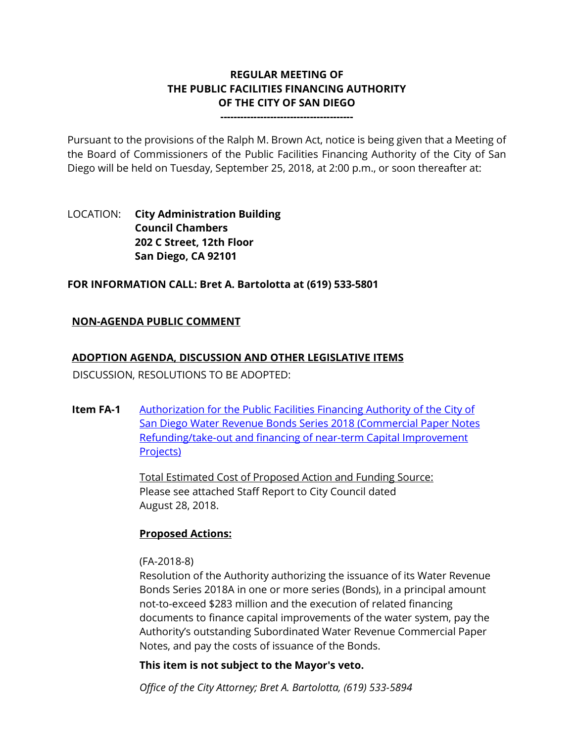# **REGULAR MEETING OF THE PUBLIC FACILITIES FINANCING AUTHORITY OF THE CITY OF SAN DIEGO**

**----------------------------------------**

Pursuant to the provisions of the Ralph M. Brown Act, notice is being given that a Meeting of the Board of Commissioners of the Public Facilities Financing Authority of the City of San Diego will be held on Tuesday, September 25, 2018, at 2:00 p.m., or soon thereafter at:

## LOCATION: **City Administration Building Council Chambers 202 C Street, 12th Floor San Diego, CA 92101**

### **FOR INFORMATION CALL: Bret A. Bartolotta at (619) 533-5801**

### **NON-AGENDA PUBLIC COMMENT**

### **ADOPTION AGENDA, DISCUSSION AND OTHER LEGISLATIVE ITEMS**

DISCUSSION, RESOLUTIONS TO BE ADOPTED:

**Item FA-1** [Authorization for the Public Facilities Financing Authority of the City of](http://www.sandiego.gov/sites/default/files/combined_files_pdf.pdf)  [San Diego Water Revenue Bonds Series 2018 \(Commercial Paper Notes](http://www.sandiego.gov/sites/default/files/combined_files_pdf.pdf)  [Refunding/take-out and financing of near-term Capital Improvement](http://www.sandiego.gov/sites/default/files/combined_files_pdf.pdf)  [Projects\)](http://www.sandiego.gov/sites/default/files/combined_files_pdf.pdf)

> Total Estimated Cost of Proposed Action and Funding Source: Please see attached Staff Report to City Council dated August 28, 2018.

#### **Proposed Actions:**

#### (FA-2018-8)

Resolution of the Authority authorizing the issuance of its Water Revenue Bonds Series 2018A in one or more series (Bonds), in a principal amount not-to-exceed \$283 million and the execution of related financing documents to finance capital improvements of the water system, pay the Authority's outstanding Subordinated Water Revenue Commercial Paper Notes, and pay the costs of issuance of the Bonds.

**This item is not subject to the Mayor's veto.**

*Office of the City Attorney; Bret A. Bartolotta, (619) 533-5894*